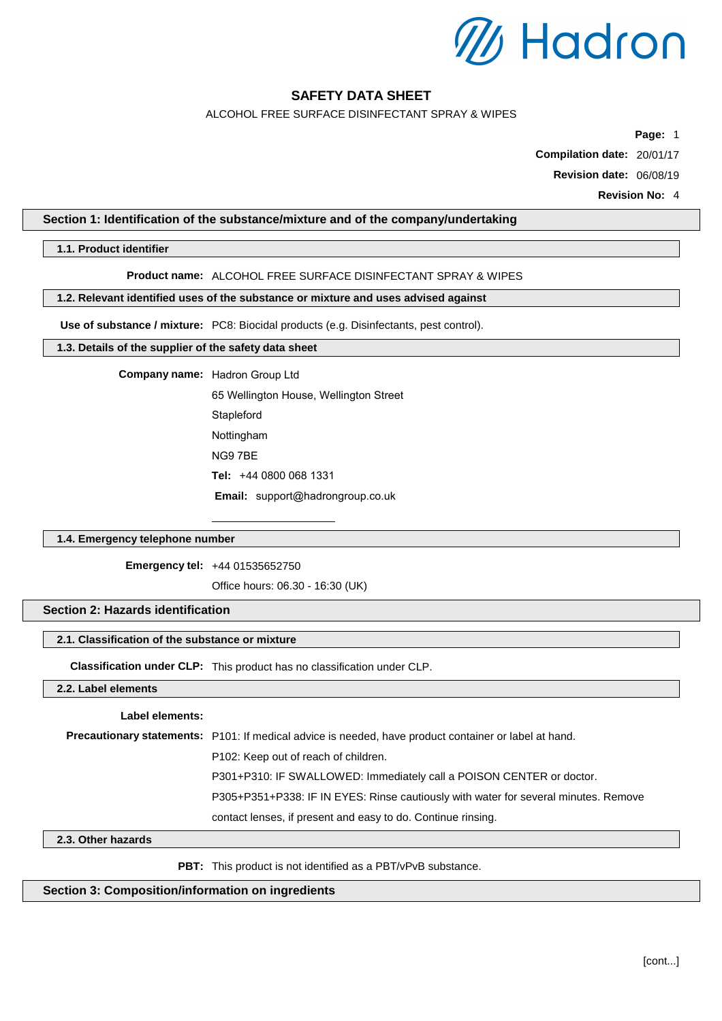

ALCOHOL FREE SURFACE DISINFECTANT SPRAY & WIPES

**Page:** 1

**Compilation date:** 20/01/17

**Revision date:** 06/08/19

**Revision No:** 4

### **Section 1: Identification of the substance/mixture and of the company/undertaking**

**1.1. Product identifier**

#### **Product name:** ALCOHOL FREE SURFACE DISINFECTANT SPRAY & WIPES

### **1.2. Relevant identified uses of the substance or mixture and uses advised against**

**Use of substance / mixture:** PC8: Biocidal products (e.g. Disinfectants, pest control).

#### **1.3. Details of the supplier of the safety data sheet**

**Company name:** Hadron Group Ltd

65 Wellington House, Wellington Street **Stapleford** Nottingham NG9 7BE **Tel:** +44 0800 068 1331 **Email:** [support@hadrongroup.co.uk](mailto:science@topdental.co.uk)

### **1.4. Emergency telephone number**

**Emergency tel:** +44 01535652750

Office hours: 06.30 - 16:30 (UK)

### **Section 2: Hazards identification**

#### **2.1. Classification of the substance or mixture**

**Classification under CLP:** This product has no classification under CLP.

### **2.2. Label elements**

#### **Label elements:**

**Precautionary statements:** P101: If medical advice is needed, have product container or label at hand. P102: Keep out of reach of children. P301+P310: IF SWALLOWED: Immediately call a POISON CENTER or doctor. P305+P351+P338: IF IN EYES: Rinse cautiously with water for several minutes. Remove contact lenses, if present and easy to do. Continue rinsing.

#### **2.3. Other hazards**

PBT: This product is not identified as a PBT/vPvB substance.

### **Section 3: Composition/information on ingredients**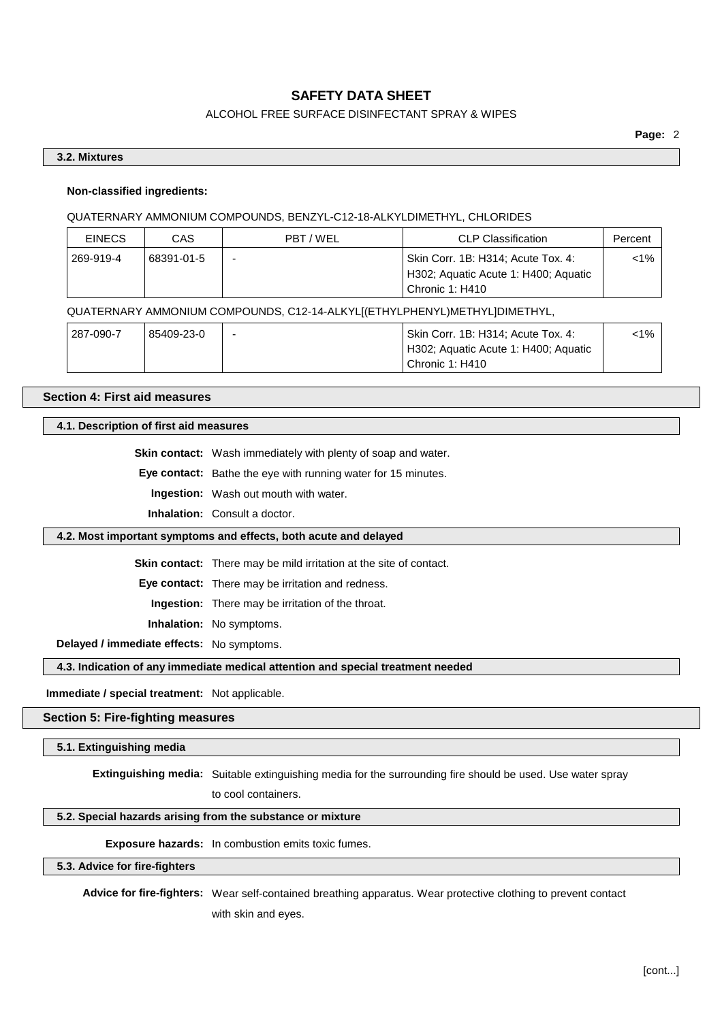### ALCOHOL FREE SURFACE DISINFECTANT SPRAY & WIPES

### **3.2. Mixtures**

### **Non-classified ingredients:**

#### QUATERNARY AMMONIUM COMPOUNDS, BENZYL-C12-18-ALKYLDIMETHYL, CHLORIDES

| <b>EINECS</b> | CAS        | PBT/WEL | <b>CLP Classification</b>                                                                     | Percent |
|---------------|------------|---------|-----------------------------------------------------------------------------------------------|---------|
| 269-919-4     | 68391-01-5 |         | Skin Corr. 1B: H314; Acute Tox. 4:<br>H302; Aquatic Acute 1: H400; Aquatic<br>Chronic 1: H410 | <1% ∣   |

### QUATERNARY AMMONIUM COMPOUNDS, C12-14-ALKYL[(ETHYLPHENYL)METHYL]DIMETHYL,

| 287-090-7 | 85409-23-0 | Skin Corr. 1B: H314; Acute Tox. 4:   | $< 1\%$ |
|-----------|------------|--------------------------------------|---------|
|           |            | H302; Aquatic Acute 1: H400; Aquatic |         |
|           |            | Chronic 1: H410                      |         |

### **Section 4: First aid measures**

### **4.1. Description of first aid measures**

**Skin contact:** Wash immediately with plenty of soap and water.

**Eye contact:** Bathe the eye with running water for 15 minutes.

**Ingestion:** Wash out mouth with water.

**Inhalation:** Consult a doctor.

#### **4.2. Most important symptoms and effects, both acute and delayed**

**Skin contact:** There may be mild irritation at the site of contact.

**Eye contact:** There may be irritation and redness.

**Ingestion:** There may be irritation of the throat.

**Inhalation:** No symptoms.

**Delayed / immediate effects:** No symptoms.

#### **4.3. Indication of any immediate medical attention and special treatment needed**

**Immediate / special treatment:** Not applicable.

#### **Section 5: Fire-fighting measures**

#### **5.1. Extinguishing media**

**Extinguishing media:** Suitable extinguishing media for the surrounding fire should be used. Use water spray

to cool containers.

### **5.2. Special hazards arising from the substance or mixture**

**Exposure hazards:** In combustion emits toxic fumes.

**5.3. Advice for fire-fighters**

**Advice for fire-fighters:** Wear self-contained breathing apparatus. Wear protective clothing to prevent contact with skin and eyes.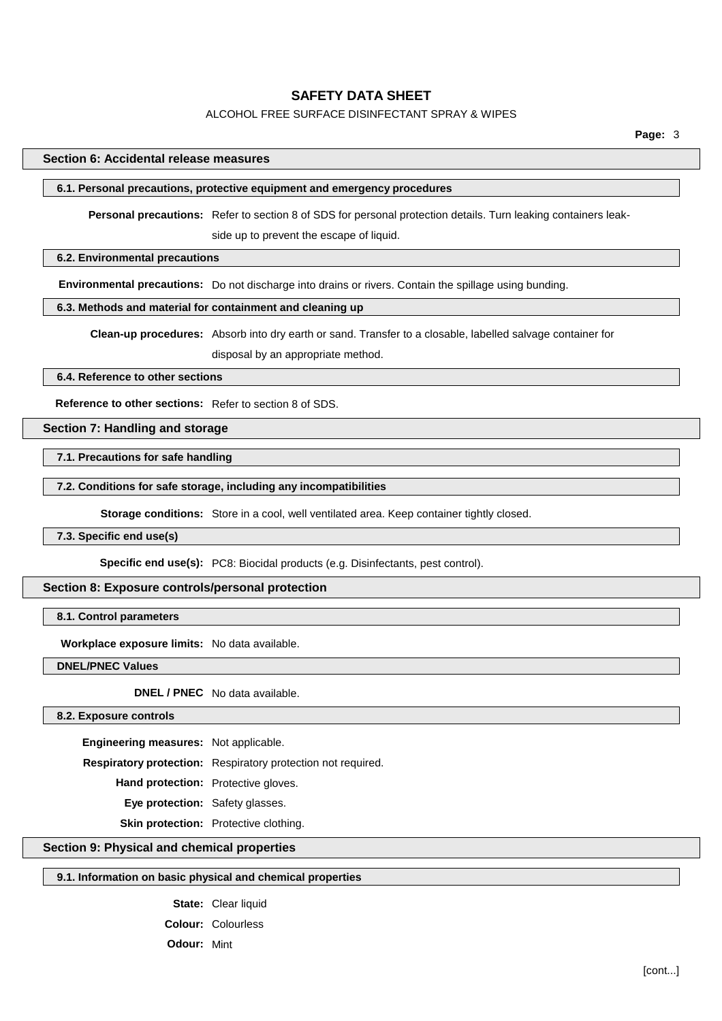### ALCOHOL FREE SURFACE DISINFECTANT SPRAY & WIPES

**Page:** 3

#### **Section 6: Accidental release measures**

### **6.1. Personal precautions, protective equipment and emergency procedures**

**Personal precautions:** Refer to section 8 of SDS for personal protection details. Turn leaking containers leak-

side up to prevent the escape of liquid.

### **6.2. Environmental precautions**

**Environmental precautions:** Do not discharge into drains or rivers. Contain the spillage using bunding.

### **6.3. Methods and material for containment and cleaning up**

**Clean-up procedures:** Absorb into dry earth or sand. Transfer to a closable, labelled salvage container for disposal by an appropriate method.

### **6.4. Reference to other sections**

**Reference to other sections:** Refer to section 8 of SDS.

#### **Section 7: Handling and storage**

**7.1. Precautions for safe handling**

**7.2. Conditions for safe storage, including any incompatibilities**

**Storage conditions:** Store in a cool, well ventilated area. Keep container tightly closed.

### **7.3. Specific end use(s)**

**Specific end use(s):** PC8: Biocidal products (e.g. Disinfectants, pest control).

#### **Section 8: Exposure controls/personal protection**

### **8.1. Control parameters**

**Workplace exposure limits:** No data available.

**DNEL/PNEC Values**

**DNEL / PNEC** No data available.

**8.2. Exposure controls**

**Engineering measures:** Not applicable.

**Respiratory protection:** Respiratory protection not required.

**Hand protection:** Protective gloves.

**Eye protection:** Safety glasses.

**Skin protection:** Protective clothing.

## **Section 9: Physical and chemical properties**

#### **9.1. Information on basic physical and chemical properties**

**State:** Clear liquid **Colour:** Colourless **Odour:** Mint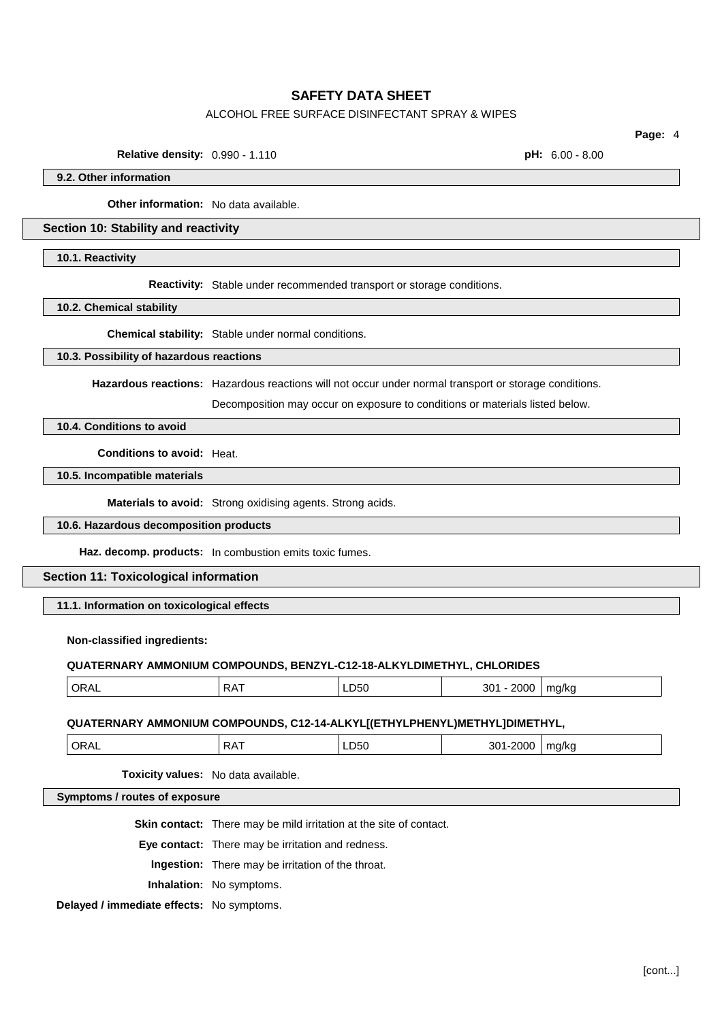### ALCOHOL FREE SURFACE DISINFECTANT SPRAY & WIPES

**Relative density:** 0.990 - 1.110 **pH:** 6.00 - 8.00

**Page:** 4

**9.2. Other information**

**Other information:** No data available.

#### **Section 10: Stability and reactivity**

**10.1. Reactivity**

**Reactivity:** Stable under recommended transport or storage conditions.

**10.2. Chemical stability**

**Chemical stability:** Stable under normal conditions.

#### **10.3. Possibility of hazardous reactions**

**Hazardous reactions:** Hazardous reactions will not occur under normal transport or storage conditions.

Decomposition may occur on exposure to conditions or materials listed below.

**10.4. Conditions to avoid**

**Conditions to avoid:** Heat.

**10.5. Incompatible materials**

**Materials to avoid:** Strong oxidising agents. Strong acids.

#### **10.6. Hazardous decomposition products**

**Haz. decomp. products:** In combustion emits toxic fumes.

### **Section 11: Toxicological information**

**11.1. Information on toxicological effects**

#### **Non-classified ingredients:**

#### **QUATERNARY AMMONIUM COMPOUNDS, BENZYL-C12-18-ALKYLDIMETHYL, CHLORIDES**

| ORAL | RAT | LD50 -<br>__ | <u>ገበበበ</u><br>301<br>. | ma/ka<br>. . |
|------|-----|--------------|-------------------------|--------------|
|      |     |              |                         |              |

#### **QUATERNARY AMMONIUM COMPOUNDS, C12-14-ALKYL[(ETHYLPHENYL)METHYL]DIMETHYL,**

| ⌒⊓ | ר גם<br>$\mathbf{v}$ | יר<br>$ -$ | $ -$<br>____ | ma/kc<br>.<br>. |
|----|----------------------|------------|--------------|-----------------|
|    |                      |            |              |                 |

**Toxicity values:** No data available.

**Symptoms / routes of exposure**

**Skin contact:** There may be mild irritation at the site of contact.

**Eye contact:** There may be irritation and redness.

**Ingestion:** There may be irritation of the throat.

**Inhalation:** No symptoms.

**Delayed / immediate effects:** No symptoms.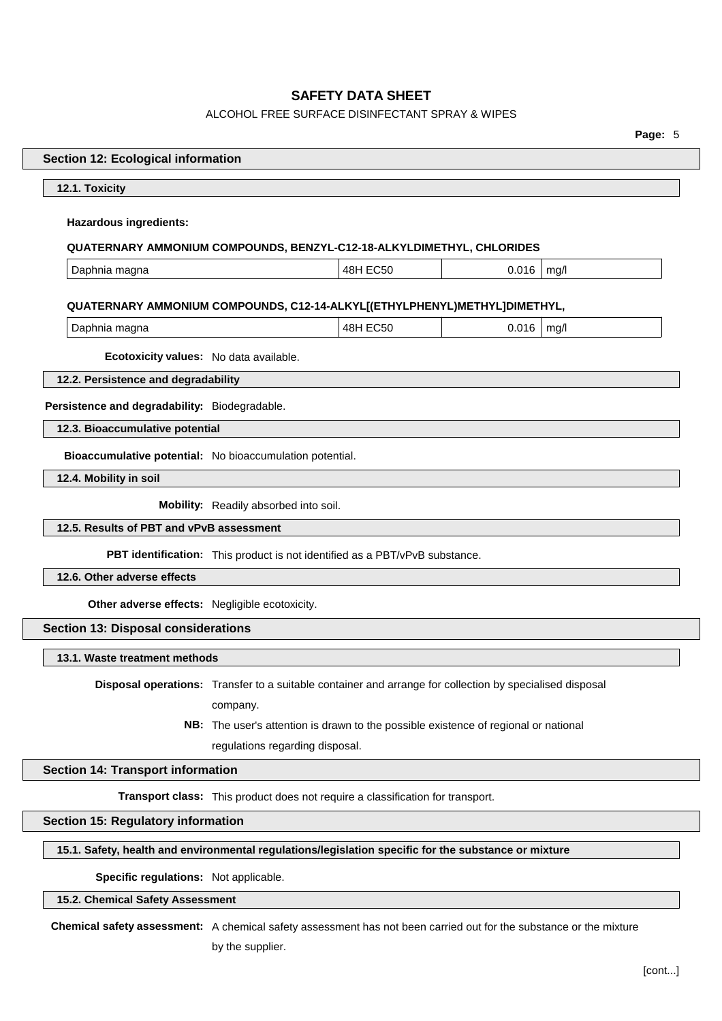# ALCOHOL FREE SURFACE DISINFECTANT SPRAY & WIPES

| L<br>n<br>٠ |  |
|-------------|--|
|-------------|--|

| <b>Section 12: Ecological information</b>                                                            |                                                                                                          |          |       |      |
|------------------------------------------------------------------------------------------------------|----------------------------------------------------------------------------------------------------------|----------|-------|------|
| 12.1. Toxicity                                                                                       |                                                                                                          |          |       |      |
| <b>Hazardous ingredients:</b>                                                                        |                                                                                                          |          |       |      |
| QUATERNARY AMMONIUM COMPOUNDS, BENZYL-C12-18-ALKYLDIMETHYL, CHLORIDES                                |                                                                                                          |          |       |      |
| Daphnia magna                                                                                        |                                                                                                          | 48H EC50 | 0.016 | mg/l |
|                                                                                                      |                                                                                                          |          |       |      |
| QUATERNARY AMMONIUM COMPOUNDS, C12-14-ALKYL[(ETHYLPHENYL)METHYL]DIMETHYL,<br>Daphnia magna           |                                                                                                          | 48H EC50 | 0.016 | mg/l |
|                                                                                                      |                                                                                                          |          |       |      |
| Ecotoxicity values: No data available.                                                               |                                                                                                          |          |       |      |
| 12.2. Persistence and degradability                                                                  |                                                                                                          |          |       |      |
| Persistence and degradability: Biodegradable.                                                        |                                                                                                          |          |       |      |
| 12.3. Bioaccumulative potential                                                                      |                                                                                                          |          |       |      |
| Bioaccumulative potential: No bioaccumulation potential.                                             |                                                                                                          |          |       |      |
| 12.4. Mobility in soil                                                                               |                                                                                                          |          |       |      |
| Mobility: Readily absorbed into soil.                                                                |                                                                                                          |          |       |      |
| 12.5. Results of PBT and vPvB assessment                                                             |                                                                                                          |          |       |      |
| PBT identification: This product is not identified as a PBT/vPvB substance.                          |                                                                                                          |          |       |      |
| 12.6. Other adverse effects                                                                          |                                                                                                          |          |       |      |
| Other adverse effects: Negligible ecotoxicity.                                                       |                                                                                                          |          |       |      |
| <b>Section 13: Disposal considerations</b>                                                           |                                                                                                          |          |       |      |
| 13.1. Waste treatment methods                                                                        |                                                                                                          |          |       |      |
|                                                                                                      | Disposal operations: Transfer to a suitable container and arrange for collection by specialised disposal |          |       |      |
|                                                                                                      | company.                                                                                                 |          |       |      |
|                                                                                                      | NB: The user's attention is drawn to the possible existence of regional or national                      |          |       |      |
|                                                                                                      | regulations regarding disposal.                                                                          |          |       |      |
| <b>Section 14: Transport information</b>                                                             |                                                                                                          |          |       |      |
|                                                                                                      | Transport class: This product does not require a classification for transport.                           |          |       |      |
| <b>Section 15: Regulatory information</b>                                                            |                                                                                                          |          |       |      |
| 15.1. Safety, health and environmental regulations/legislation specific for the substance or mixture |                                                                                                          |          |       |      |
|                                                                                                      |                                                                                                          |          |       |      |

**Specific regulations:** Not applicable.

# **15.2. Chemical Safety Assessment**

 $\sqrt{2}$ 

 $\overline{\phantom{a}}$ 

**Chemical safety assessment:** A chemical safety assessment has not been carried out for the substance or the mixture

by the supplier.